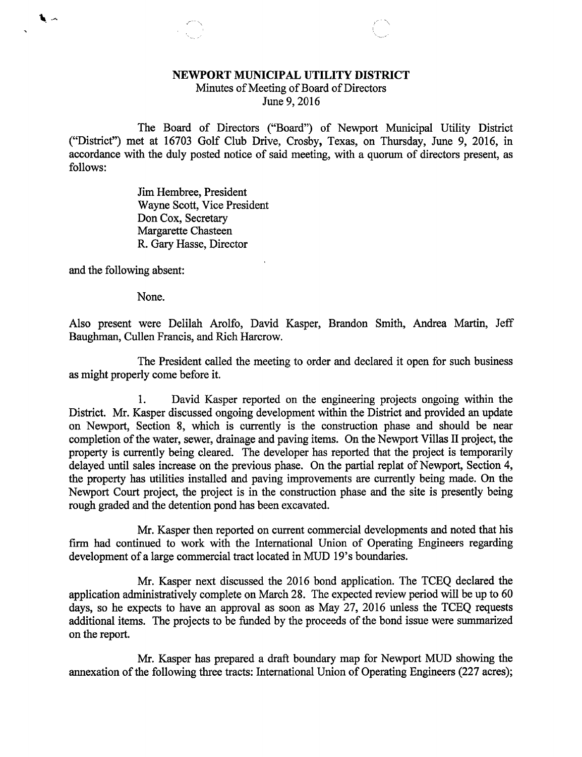## NEWPORT MUNICIPAL UTILITY DISTRICT

Minutes of Meeting of Board of Directors June 9, 2016

The Board of Directors ("Board") of Newport Municipal Utility District ("District") met at 16703 Golf Club Drive, Crosby, Texas, on Thursday, June 9, 2016, in accordance with the duly posted notice of said meeting, with a quorum of directors present, as follows:

> Jim Hembree, President Wayne Scott, Vice President Don Cox, Secretary Margarette Chasteen R. Gary Hasse, Director

and the following absent:

 $\begin{array}{cc} \bullet & \bullet \end{array}$ 

None.

Also present were Delilah Arolfo, David Kasper, Brandon Smith, Andrea Martin, Jeff Baughman, Cullen Francis, and Rich Harcrow.

The President called the meeting to order and declared it open for such business as might properly come before it.

1. David Kasper reported on the engineering projects ongoing within the District. Mr. Kasper discussed ongoing development within the District and provided an update on Newport, Section 8, which is currently is the construction phase and should be near completion of the water, sewer, drainage and paving items. On the Newport. Villas II project, the property is currently being cleared. The developer has reported that the project is temporarily delayed until sales increase on the previous phase. On the partial replat of Newport, Section 4, the property has utilities installed and paving improvements are currently being made. On the Newport Court project, the project is in the construction phase and the site is presently being rough graded and the detention pond has been excavated.

Mr. Kasper then reported on current commercial developments and noted that his firm had continued to work with the International Union of Operating Engineers regarding development of a large commercial tract located in MUD 19's boundaries.

Mr. Kasper next discussed the 2016 bond application. The TCEQ declared the application administratively complete on March 28. The expected review period will be up to 60 days, so he expects to have an approval as soon as May 27, 2016 unless the TCEQ requests additional items. The projects to be funded by the proceeds of the bond issue were summarized on the report.

Mr. Kasper has prepared a draft boundary map for Newport MUD showing the annexation of the following three tracts: International Union of Operating Engineers (227 acres);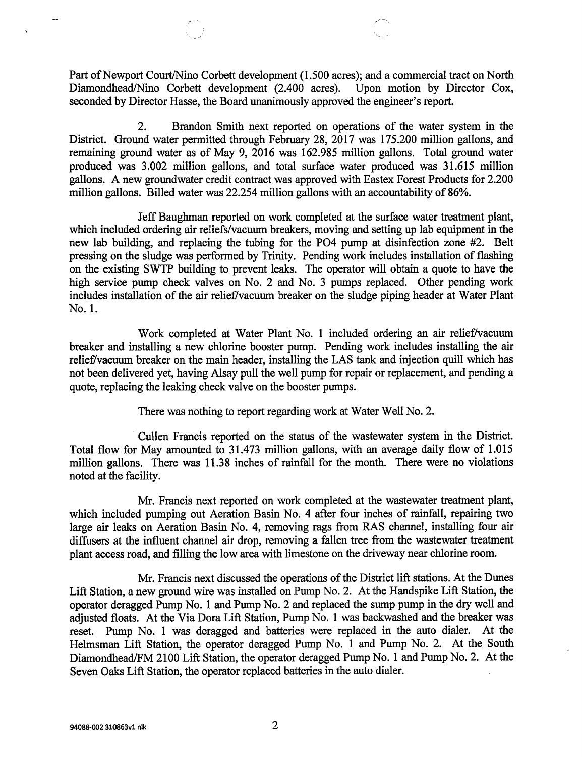Part of Newport Court/Nino Corbett development (1.500 acres); and a commercial tract on North Diamondhead/Nino Corbett development (2.400 acres). Upon motion by Director Cox, seconded by Director Hasse, the Board unanimously approved the engineer's report.

2. Brandon Smith next reported on operations of the water system in the District. Ground water permitted through February 28, 2017 was 175.200 million gallons, and remaining ground water as of May 9, 2016 was 162.985 million gallons. Total ground water produced was 3.002 million gallons, and total surface water produced was 31.615 million gallons. A new groundwater credit contract was approved with Eastex Forest Products for 2.200 million gallons. Billed water was 22.254 million gallons with an accountability of 86%.

Jeff Baughman reported on work completed at the surface water treatment plant, which included ordering air reliefs/vacuum breakers, moving and setting up lab equipment in the new lab building, and replacing the tubing for the PO4 pump at disinfection zone #2. Belt pressing on the sludge was performed by Trinity. Pending work includes installation of flashing on the existing SWTP building to prevent leaks. The operator will obtain a quote to have the high service pump check valves on No. 2 and No. 3 pumps replaced. Other pending work includes installation of the air relief/vacuum breaker on the sludge piping header at Water Plant No. 1.

Work completed at Water Plant No. 1 included ordering an air relief/vacuum breaker and installing a new chlorine booster pump. Pending work includes installing the air relief/vacuum breaker on the main header, installing the LAS tank and injection quill which has not been delivered yet, having Alsay pull the well pump for repair or replacement, and pending a quote, replacing the leaking check valve on the booster pumps.

There was nothing to report regarding work at Water Well No. 2.

Cullen Francis reported on the status of the wastewater system in the District. Total flow for May amounted to 31.473 million gallons, with an average daily flow of 1.015 million gallons. There was 11.38 inches of rainfall for the month. There were no violations noted at the facility.

Mr. Francis next reported on work completed at the wastewater treatment plant, which included pumping out Aeration Basin No. 4 after four inches of rainfall, repairing two large air leaks on Aeration Basin No. 4, removing rags from RAS channel, installing four air diffusers at the influent channel air drop, removing a fallen tree from the wastewater treatment plant access road, and filling the low area with limestone on the driveway near chlorine room.

Mr. Francis next discussed the operations of the District lift stations. At the Dunes Lift Station, a new ground wire was installed on Pump No. 2. At the Handspike Lift Station, the operator deragged Pump No. 1 and Pump No. 2 and replaced the sump pump in the dry well and adjusted floats. At the Via Dora Lift Station, Pump No. 1 was backwashed and the breaker was reset. Pump No. 1 was deragged and batteries were replaced in the auto dialer. At the Helmsman Lift Station, the operator deragged Pump No. 1 and Pump No. 2. At the South Diamondhead/FM 2100 Lift Station, the operator deragged Pump No. 1 and Pump No. 2. At the Seven Oaks Lift Station, the operator replaced batteries in the auto dialer.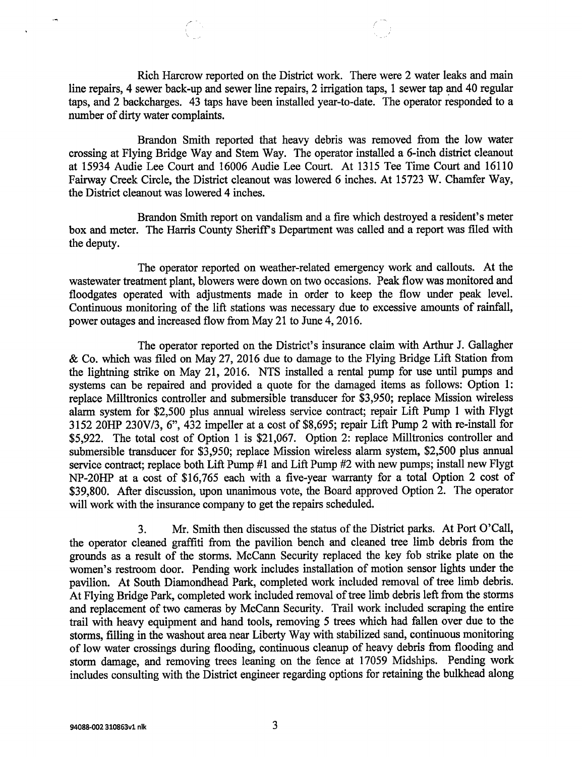Rich Harcrow reported on the District work. There were 2 water leaks and main line repairs, 4 sewer back-up and sewer line repairs, 2 irrigation taps, 1 sewer tap and 40 regular taps, and 2 backcharges. 43 taps have been installed year-to-date. The operator responded to a number of dirty water complaints.

Brandon Smith reported that heavy debris was removed from the low water crossing at Flying Bridge Way and Stem Way. The operator installed a 6-inch district cleanout at 15934 Audie Lee Court and 16006 Audie Lee Court. At 1315 Tee Time Court and 16110 Fairway Creek Circle, the District cleanout was lowered 6 inches. At 15723 W. Chamfer Way, the District cleanout was lowered 4 inches.

Brandon Smith report on vandalism and a fire which destroyed a resident's meter box and meter. The Harris County Sheriff's Department was called and a report was filed with the deputy.

The operator reported on weather-related emergency work and callouts. At the wastewater treatment plant, blowers were down on two occasions. Peak flow was monitored and floodgates operated with adjustments made in order to keep the flow under peak level. Continuous monitoring of the lift stations was necessary due to excessive amounts of rainfall, power outages and increased flow from May 21 to June 4, 2016.

The operator reported on the District's insurance claim with Arthur J. Gallagher &Co. which was filed on May 27, 2016 due to damage to the Flying Bridge Lift Station from the lightning strike on May 21, 2016. NTS installed a rental pump for use until pumps and systems can be repaired and provided a quote for the damaged items as follows: Option 1: replace Milltronics controller and submersible transducer for \$3,950; replace Mission wireless alarm system for \$2,500 plus annual wireless service contract; repair Lift Pump 1 with Flygt 3152 20HP 230V/3, 6", 432 impeller at a cost of \$8,695; repair Lift Pump 2 with re-install for \$5,922. The total cost of Option 1 is \$21,067. Option 2: replace Milltronics controller and submersible transducer for \$3,950; replace Mission wireless alarm system, \$2,500 plus annual service contract; replace both Lift Pump #1 and Lift Pump #2 with new pumps; install new Flygt NP-20HP at a cost of \$16,765 each with a five-year warranty for a total Option 2 cost of \$39,800. After discussion, upon unanimous vote, the Board approved Option 2. The operator will work with the insurance company to get the repairs scheduled.

3. Mr. Smith then discussed the status of the District parks. At Port O'Call, the operator cleaned graffiti from the pavilion bench and cleaned tree limb debris from the grounds as a result of the storms. McCann Security replaced the key fob strike plate on the women's restroom door. Pending work includes installation of motion sensor lights under the pavilion. At South Diamondhead Park, completed work included removal of tree limb debris. At Flying Bridge Park, completed work included removal of tree limb debris left from the storms and replacement of two cameras by McCann Security. Trail work included scraping the entire trail with heavy equipment and hand tools, removing 5 trees which had fallen over due to the storms, filling in the washout area near Liberty Way with stabilized sand, continuous monitoring of low water crossings during flooding, continuous cleanup of heavy debris from flooding and storm damage, and removing trees leaning on the fence at 17059 Midships. Pending work includes consulting with the District engineer regarding options for retaining the bulkhead along